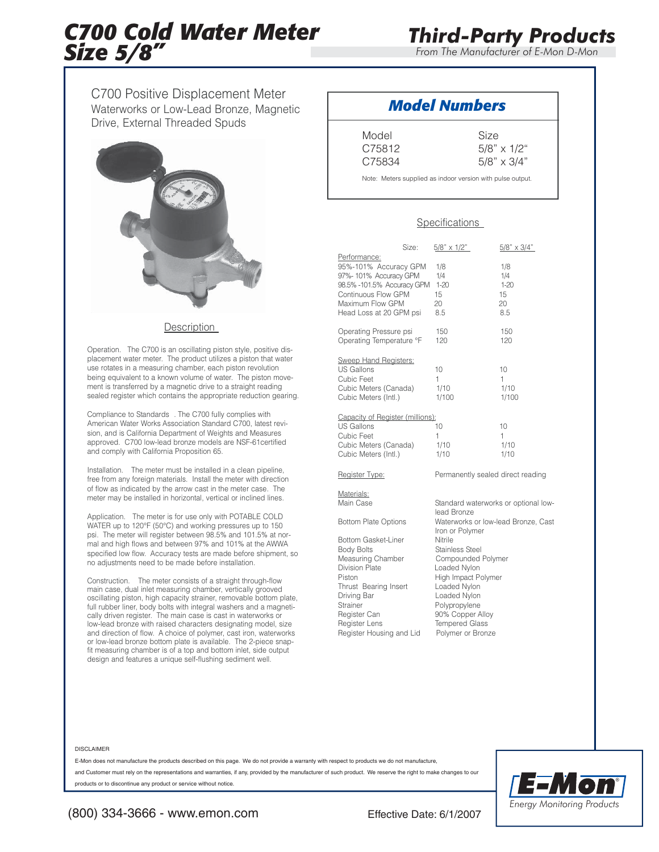# *C700 Cold Water Meter Size 5/8"*

*From The Manufacturer of E-Mon D-Mon*

C700 Positive Displacement Meter Waterworks or Low-Lead Bronze, Magnetic Drive, External Threaded Spuds



### **Description**

Operation. The C700 is an oscillating piston style, positive displacement water meter. The product utilizes a piston that water use rotates in a measuring chamber, each piston revolution being equivalent to a known volume of water. The piston movement is transferred by a magnetic drive to a straight reading sealed register which contains the appropriate reduction gearing.

Compliance to Standards . The C700 fully complies with American Water Works Association Standard C700, latest revision, and is California Department of Weights and Measures approved. C700 low-lead bronze models are NSF-61certified and comply with California Proposition 65.

Installation. The meter must be installed in a clean pipeline, free from any foreign materials. Install the meter with direction of flow as indicated by the arrow cast in the meter case. The meter may be installed in horizontal, vertical or inclined lines.

Application. The meter is for use only with POTABLE COLD WATER up to 120°F (50°C) and working pressures up to 150 psi. The meter will register between 98.5% and 101.5% at normal and high flows and between 97% and 101% at the AWWA specified low flow. Accuracy tests are made before shipment, so no adjustments need to be made before installation.

Construction. The meter consists of a straight through-flow main case, dual inlet measuring chamber, vertically grooved oscillating piston, high capacity strainer, removable bottom plate, full rubber liner, body bolts with integral washers and a magnetically driven register. The main case is cast in waterworks or low-lead bronze with raised characters designating model, size and direction of flow. A choice of polymer, cast iron, waterworks or low-lead bronze bottom plate is available. The 2-piece snapfit measuring chamber is of a top and bottom inlet, side output design and features a unique self-flushing sediment well.

## *Model Numbers*

Model Size C75812 5/8" x 1/2"

C75834 5/8" x 3/4"

Note: Meters supplied as indoor version with pulse output.

### Specifications

|                                                                                                                                                                                                                          | Size: | $5/8$ " x $1/2$ "                                                                                                                                                                                                                    | $5/8" \times 3/4"$                        |  |  |  |
|--------------------------------------------------------------------------------------------------------------------------------------------------------------------------------------------------------------------------|-------|--------------------------------------------------------------------------------------------------------------------------------------------------------------------------------------------------------------------------------------|-------------------------------------------|--|--|--|
| Performance:<br>95%-101% Accuracy GPM<br>97%-101% Accuracy GPM<br>98.5% -101.5% Accuracy GPM<br>Continuous Flow GPM<br>Maximum Flow GPM<br>Head Loss at 20 GPM psi                                                       |       | 1/8<br>1/4<br>$1 - 20$<br>15<br>20<br>8.5                                                                                                                                                                                            | 1/8<br>1/4<br>$1 - 20$<br>15<br>20<br>8.5 |  |  |  |
| Operating Pressure psi<br>Operating Temperature °F                                                                                                                                                                       |       | 150<br>120                                                                                                                                                                                                                           | 150<br>120                                |  |  |  |
| Sweep Hand Registers:<br><b>US Gallons</b><br>Cubic Feet<br>Cubic Meters (Canada)<br>Cubic Meters (Intl.)                                                                                                                |       | 10<br>1<br>1/10<br>1/100                                                                                                                                                                                                             | 10<br>1<br>1/10<br>1/100                  |  |  |  |
| Capacity of Register (millions):<br>US Gallons<br>Cubic Feet<br>Cubic Meters (Canada)<br>Cubic Meters (Intl.)                                                                                                            |       | 10<br>1<br>1/10<br>1/10                                                                                                                                                                                                              | 10<br>1<br>1/10<br>1/10                   |  |  |  |
| Register Type:                                                                                                                                                                                                           |       | Permanently sealed direct reading                                                                                                                                                                                                    |                                           |  |  |  |
| Materials:<br>Main Case<br><b>Bottom Plate Options</b>                                                                                                                                                                   |       | Standard waterworks or optional low-<br>lead Bronze<br>Waterworks or low-lead Bronze, Cast                                                                                                                                           |                                           |  |  |  |
| <b>Bottom Gasket-Liner</b><br><b>Body Bolts</b><br>Measuring Chamber<br><b>Division Plate</b><br>Piston<br>Thrust Bearing Insert<br>Driving Bar<br>Strainer<br>Register Can<br>Register Lens<br>Register Housing and Lid |       | Iron or Polymer<br>Nitrile<br><b>Stainless Steel</b><br>Compounded Polymer<br>Loaded Nylon<br>High Impact Polymer<br>Loaded Nylon<br>Loaded Nylon<br>Polypropylene<br>90% Copper Alloy<br><b>Tempered Glass</b><br>Polymer or Bronze |                                           |  |  |  |

#### DISCLAIMER

E-Mon does not manufacture the products described on this page. We do not provide a warranty with respect to products we do not manufacture,

and Customer must rely on the representations and warranties, if any, provided by the manufacturer of such product. We reserve the right to make changes to our products or to discontinue any product or service without notice.



(800) 334-3666 - www.emon.com Effective Date: 6/1/2007